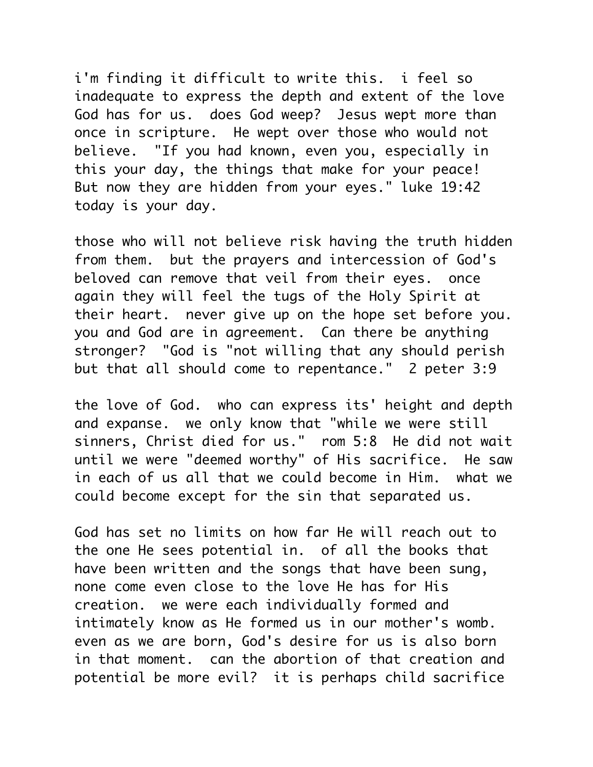i'm finding it difficult to write this. i feel so inadequate to express the depth and extent of the love God has for us. does God weep? Jesus wept more than once in scripture. He wept over those who would not believe. "If you had known, even you, especially in this your day, the things that make for your peace! But now they are hidden from your eyes." luke 19:42 today is your day.

those who will not believe risk having the truth hidden from them. but the prayers and intercession of God's beloved can remove that veil from their eyes. once again they will feel the tugs of the Holy Spirit at their heart. never give up on the hope set before you. you and God are in agreement. Can there be anything stronger? "God is "not willing that any should perish but that all should come to repentance." 2 peter 3:9

the love of God. who can express its' height and depth and expanse. we only know that "while we were still sinners, Christ died for us." rom 5:8 He did not wait until we were "deemed worthy" of His sacrifice. He saw in each of us all that we could become in Him. what we could become except for the sin that separated us.

God has set no limits on how far He will reach out to the one He sees potential in. of all the books that have been written and the songs that have been sung, none come even close to the love He has for His creation. we were each individually formed and intimately know as He formed us in our mother's womb. even as we are born, God's desire for us is also born in that moment. can the abortion of that creation and potential be more evil? it is perhaps child sacrifice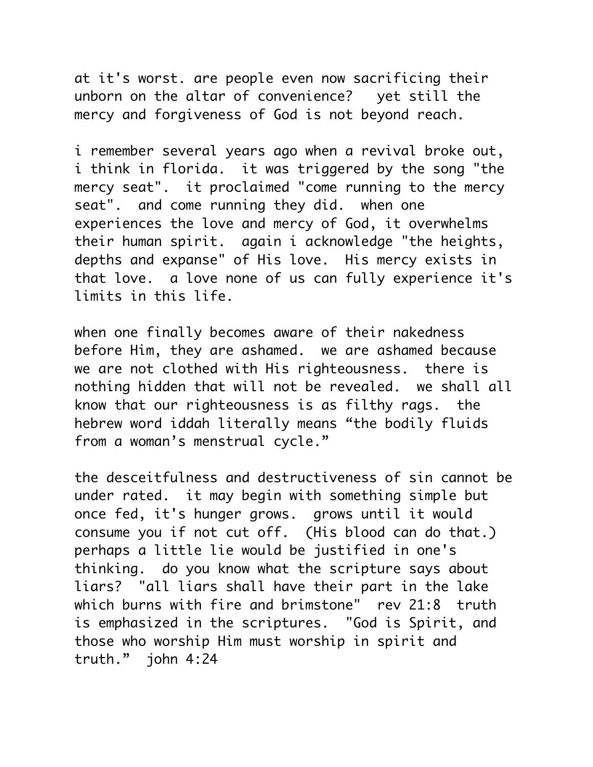at it's worst. are people even now sacrificing their unborn on the altar of convenience? yet still the mercy and forgiveness of God is not beyond reach.

i remember several years ago when a revival broke out, i think in florida. it was triggered by the song "the mercy seat". it proclaimed "come running to the mercy seat". and come running they did. when one experiences the love and mercy of God, it overwhelms their human spirit. again i acknowledge "the heights, depths and expanse" of His love. His mercy exists in that love. a love none of us can fully experience it's limits in this life.

when one finally becomes aware of their nakedness before Him, they are ashamed. we are ashamed because we are not clothed with His righteousness. there is nothing hidden that will not be revealed. we shall all know that our righteousness is as filthy rags. the hebrew word iddah literally means "the bodily fluids from a woman's menstrual cycle."

the desceitfulness and destructiveness of sin cannot be under rated. it may begin with something simple but once fed, it's hunger grows. grows until it would consume you if not cut off. (His blood can do that.) perhaps a little lie would be justified in one's thinking. do you know what the scripture says about liars? "all liars shall have their part in the lake which burns with fire and brimstone" rev 21:8 truth is emphasized in the scriptures. "God is Spirit, and those who worship Him must worship in spirit and truth." john 4:24